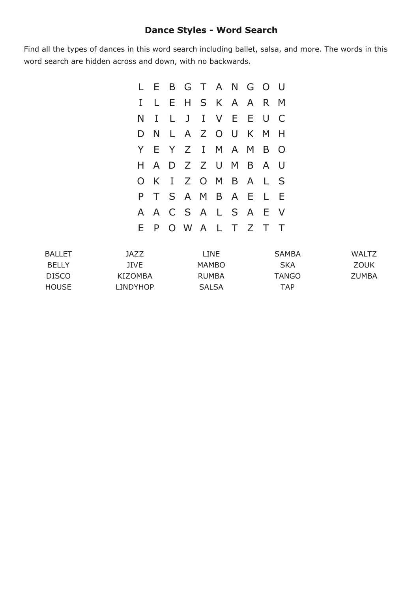## **Dance Styles Word Search**

Find all the types of dances in this word search including ballet, salsa, and more. The words in this word search are hidden across and down, with no backwards.

|              |   | L E B G T A N G O U |  |  |     |                         |
|--------------|---|---------------------|--|--|-----|-------------------------|
| $\mathbf{I}$ | L | E H S K A A         |  |  | R M |                         |
|              |   | N I L J I V E E U   |  |  |     | $\overline{\mathsf{C}}$ |
|              |   | D N L A Z O U K M   |  |  |     | - H                     |
|              |   | Y E Y Z I M A M B O |  |  |     |                         |
|              |   | H A D Z Z U M B A U |  |  |     |                         |
|              |   | O K I Z O M B A L   |  |  |     | $\mathsf{S}$            |
|              |   | P T S A M B A E L   |  |  |     | Ε                       |
|              |   | A A C S A L S A     |  |  | E V |                         |
|              |   | E P O W A L T Z T T |  |  |     |                         |

| <b>BALLET</b> | 1AZZ     | LINE         | <b>SAMBA</b> | <b>WALTZ</b> |
|---------------|----------|--------------|--------------|--------------|
| <b>BELLY</b>  | JIVE     | MAMBO        | <b>SKA</b>   | ZOUK         |
| <b>DISCO</b>  | KIZOMBA  | <b>RUMBA</b> | TANGO        | <b>ZUMBA</b> |
| <b>HOUSE</b>  | LINDYHOP | <b>SALSA</b> | TAP          |              |